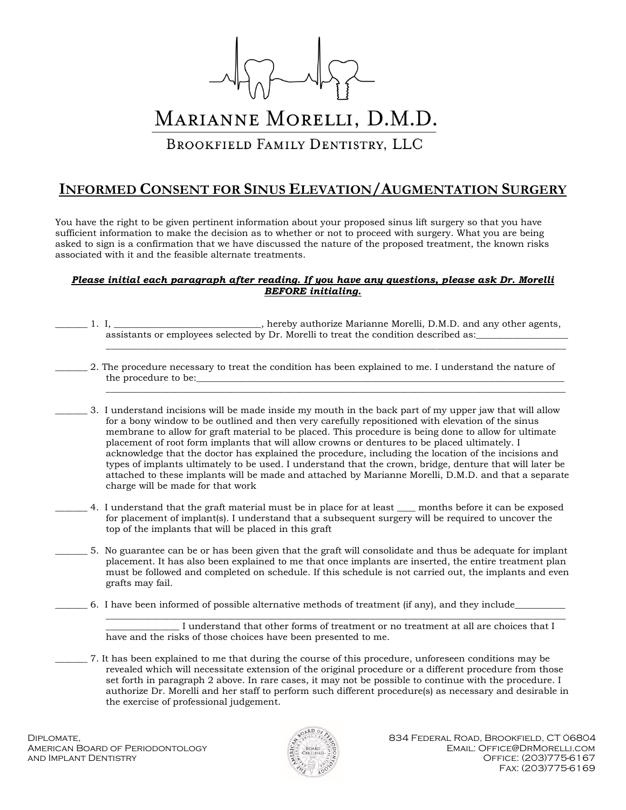

## MARIANNE MORELLI, D.M.D.

BROOKFIELD FAMILY DENTISTRY, LLC

## **INFORMED CONSENT FOR SINUS ELEVATION/AUGMENTATION SURGERY**

You have the right to be given pertinent information about your proposed sinus lift surgery so that you have sufficient information to make the decision as to whether or not to proceed with surgery. What you are being asked to sign is a confirmation that we have discussed the nature of the proposed treatment, the known risks associated with it and the feasible alternate treatments.

## *Please initial each paragraph after reading. If you have any questions, please ask Dr. Morelli BEFORE initialing.*

- \_\_\_\_\_\_\_ 1. I, \_\_\_\_\_\_\_\_\_\_\_\_\_\_\_\_\_\_\_\_\_\_\_\_\_\_\_\_\_\_\_\_, hereby authorize Marianne Morelli, D.M.D. and any other agents, assistants or employees selected by Dr. Morelli to treat the condition described as:  $\mathcal{L}_\mathcal{L} = \{ \mathcal{L}_\mathcal{L} = \{ \mathcal{L}_\mathcal{L} = \{ \mathcal{L}_\mathcal{L} = \{ \mathcal{L}_\mathcal{L} = \{ \mathcal{L}_\mathcal{L} = \{ \mathcal{L}_\mathcal{L} = \{ \mathcal{L}_\mathcal{L} = \{ \mathcal{L}_\mathcal{L} = \{ \mathcal{L}_\mathcal{L} = \{ \mathcal{L}_\mathcal{L} = \{ \mathcal{L}_\mathcal{L} = \{ \mathcal{L}_\mathcal{L} = \{ \mathcal{L}_\mathcal{L} = \{ \mathcal{L}_\mathcal{$ 
	- \_\_\_\_\_\_\_ 2. The procedure necessary to treat the condition has been explained to me. I understand the nature of the procedure to be:  $\mathcal{L}_\mathcal{L} = \{ \mathcal{L}_\mathcal{L} = \{ \mathcal{L}_\mathcal{L} = \{ \mathcal{L}_\mathcal{L} = \{ \mathcal{L}_\mathcal{L} = \{ \mathcal{L}_\mathcal{L} = \{ \mathcal{L}_\mathcal{L} = \{ \mathcal{L}_\mathcal{L} = \{ \mathcal{L}_\mathcal{L} = \{ \mathcal{L}_\mathcal{L} = \{ \mathcal{L}_\mathcal{L} = \{ \mathcal{L}_\mathcal{L} = \{ \mathcal{L}_\mathcal{L} = \{ \mathcal{L}_\mathcal{L} = \{ \mathcal{L}_\mathcal{$

\_\_\_\_\_\_\_ 3. I understand incisions will be made inside my mouth in the back part of my upper jaw that will allow for a bony window to be outlined and then very carefully repositioned with elevation of the sinus membrane to allow for graft material to be placed. This procedure is being done to allow for ultimate placement of root form implants that will allow crowns or dentures to be placed ultimately. I acknowledge that the doctor has explained the procedure, including the location of the incisions and types of implants ultimately to be used. I understand that the crown, bridge, denture that will later be attached to these implants will be made and attached by Marianne Morelli, D.M.D. and that a separate charge will be made for that work

- \_\_\_\_\_\_\_ 4. I understand that the graft material must be in place for at least \_\_\_\_ months before it can be exposed for placement of implant(s). I understand that a subsequent surgery will be required to uncover the top of the implants that will be placed in this graft
	- \_\_\_\_\_\_\_ 5. No guarantee can be or has been given that the graft will consolidate and thus be adequate for implant placement. It has also been explained to me that once implants are inserted, the entire treatment plan must be followed and completed on schedule. If this schedule is not carried out, the implants and even grafts may fail.
		- \_\_\_\_\_\_\_ 6. I have been informed of possible alternative methods of treatment (if any), and they include\_\_\_\_\_\_\_\_\_\_\_

 $\mathcal{L}_\mathcal{L} = \{ \mathcal{L}_\mathcal{L} = \{ \mathcal{L}_\mathcal{L} = \{ \mathcal{L}_\mathcal{L} = \{ \mathcal{L}_\mathcal{L} = \{ \mathcal{L}_\mathcal{L} = \{ \mathcal{L}_\mathcal{L} = \{ \mathcal{L}_\mathcal{L} = \{ \mathcal{L}_\mathcal{L} = \{ \mathcal{L}_\mathcal{L} = \{ \mathcal{L}_\mathcal{L} = \{ \mathcal{L}_\mathcal{L} = \{ \mathcal{L}_\mathcal{L} = \{ \mathcal{L}_\mathcal{L} = \{ \mathcal{L}_\mathcal{$ I understand that other forms of treatment or no treatment at all are choices that I have and the risks of those choices have been presented to me.

\_\_\_\_\_\_\_ 7. It has been explained to me that during the course of this procedure, unforeseen conditions may be revealed which will necessitate extension of the original procedure or a different procedure from those set forth in paragraph 2 above. In rare cases, it may not be possible to continue with the procedure. I authorize Dr. Morelli and her staff to perform such different procedure(s) as necessary and desirable in the exercise of professional judgement.